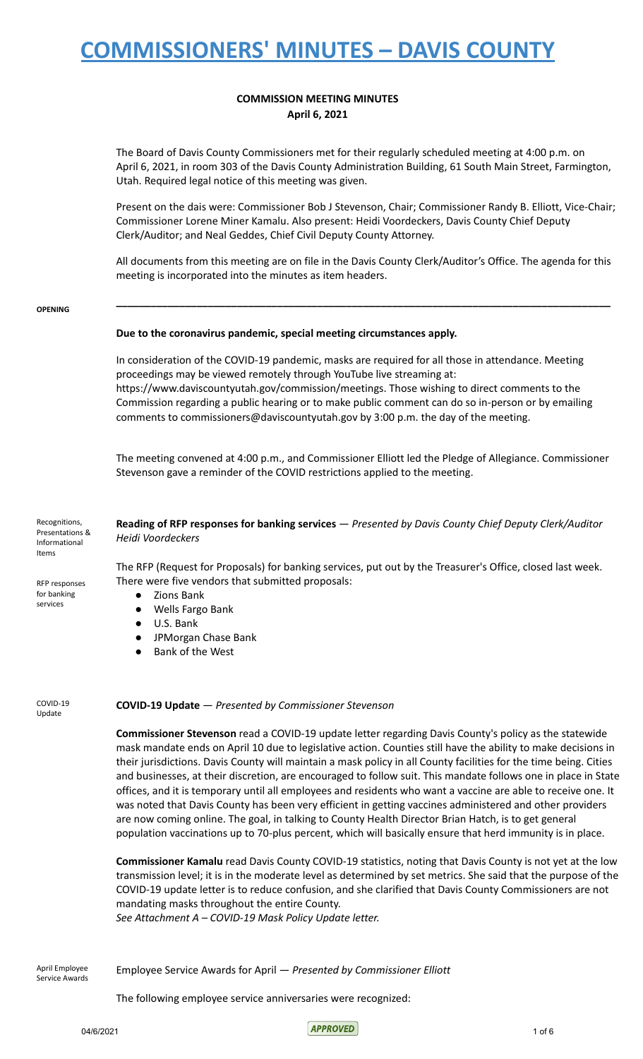# **COMMISSION MEETING MINUTES April 6, 2021**

The Board of Davis County Commissioners met for their regularly scheduled meeting at 4:00 p.m. on April 6, 2021, in room 303 of the Davis County Administration Building, 61 South Main Street, Farmington, Utah. Required legal notice of this meeting was given.

Present on the dais were: Commissioner Bob J Stevenson, Chair; Commissioner Randy B. Elliott, Vice-Chair; Commissioner Lorene Miner Kamalu. Also present: Heidi Voordeckers, Davis County Chief Deputy Clerk/Auditor; and Neal Geddes, Chief Civil Deputy County Attorney.

All documents from this meeting are on file in the Davis County Clerk/Auditor's Office. The agenda for this meeting is incorporated into the minutes as item headers.

**\_\_\_\_\_\_\_\_\_\_\_\_\_\_\_\_\_\_\_\_\_\_\_\_\_\_\_\_\_\_\_\_\_\_\_\_\_\_\_\_\_\_\_\_\_\_\_\_\_\_\_\_\_\_\_\_\_\_\_\_\_\_\_\_\_\_\_\_\_\_\_\_\_\_\_\_\_\_\_\_\_\_\_\_\_\_**

**OPENING**

### **Due to the coronavirus pandemic, special meeting circumstances apply.**

In consideration of the COVID-19 pandemic, masks are required for all those in attendance. Meeting proceedings may be viewed remotely through YouTube live streaming at: https://www.daviscountyutah.gov/commission/meetings. Those wishing to direct comments to the Commission regarding a public hearing or to make public comment can do so in-person or by emailing comments to commissioners@daviscountyutah.gov by 3:00 p.m. the day of the meeting.

The meeting convened at 4:00 p.m., and Commissioner Elliott led the Pledge of Allegiance. Commissioner Stevenson gave a reminder of the COVID restrictions applied to the meeting.

Recognitions, Presentations & Informational Items RFP responses **Reading of RFP responses for banking services** — *Presented by Davis County Chief Deputy Clerk/Auditor Heidi Voordeckers* The RFP (Request for Proposals) for banking services, put out by the Treasurer's Office, closed last week. There were five vendors that submitted proposals:

- Zions Bank
- Wells Fargo Bank
- U.S. Bank
- JPMorgan Chase Bank
- Bank of the West

COVID-19 Update

for banking services

### **COVID-19 Update** — *Presented by Commissioner Stevenson*

**Commissioner Stevenson** read a COVID-19 update letter regarding Davis County's policy as the statewide mask mandate ends on April 10 due to legislative action. Counties still have the ability to make decisions in their jurisdictions. Davis County will maintain a mask policy in all County facilities for the time being. Cities and businesses, at their discretion, are encouraged to follow suit. This mandate follows one in place in State offices, and it is temporary until all employees and residents who want a vaccine are able to receive one. It was noted that Davis County has been very efficient in getting vaccines administered and other providers are now coming online. The goal, in talking to County Health Director Brian Hatch, is to get general population vaccinations up to 70-plus percent, which will basically ensure that herd immunity is in place.

**Commissioner Kamalu** read Davis County COVID-19 statistics, noting that Davis County is not yet at the low transmission level; it is in the moderate level as determined by set metrics. She said that the purpose of the COVID-19 update letter is to reduce confusion, and she clarified that Davis County Commissioners are not mandating masks throughout the entire County.

*See Attachment A – COVID-19 Mask Policy Update letter.*

April Employee Service Awards

Employee Service Awards for April — *Presented by Commissioner Elliott*

The following employee service anniversaries were recognized:

 $04/6/2021$  1 of 6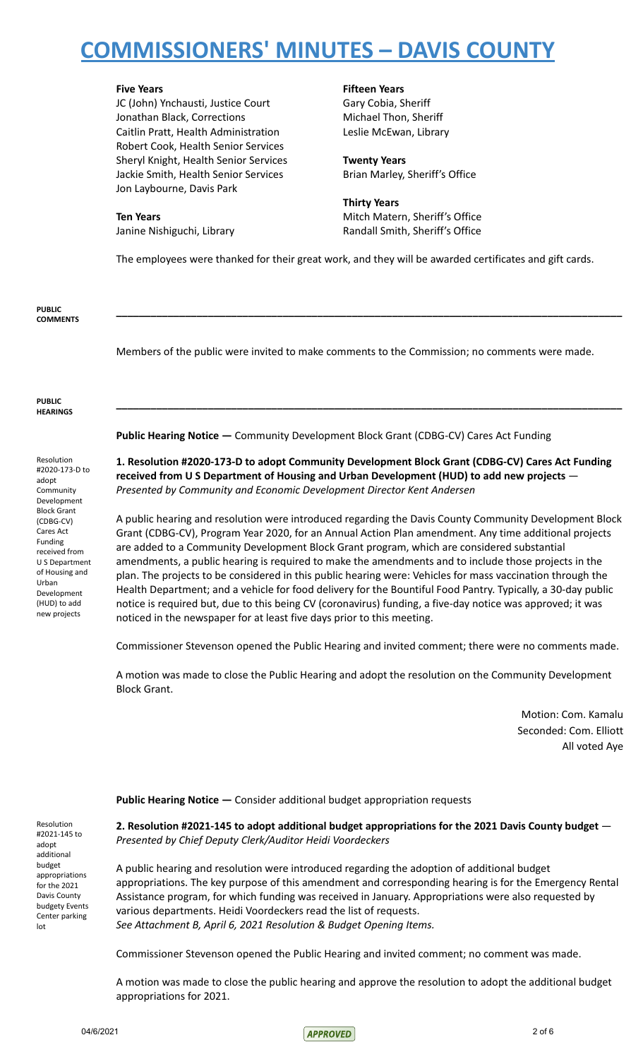JC (John) Ynchausti, Justice Court Gary Cobia, Sheriff Jonathan Black, Corrections Michael Thon, Sheriff Caitlin Pratt, Health Administration Leslie McEwan, Library Robert Cook, Health Senior Services Sheryl Knight, Health Senior Services **Twenty Years** Jackie Smith, Health Senior Services **Brian Marley, Sheriff's Office** Jon Laybourne, Davis Park

# **Five Years Fifteen Years**

**Thirty Years Ten Years** Mitch Matern, Sheriff's Office Janine Nishiguchi, Library **Randall Smith, Sheriff's Office** 

The employees were thanked for their great work, and they will be awarded certificates and gift cards.

**\_\_\_\_\_\_\_\_\_\_\_\_\_\_\_\_\_\_\_\_\_\_\_\_\_\_\_\_\_\_\_\_\_\_\_\_\_\_\_\_\_\_\_\_\_\_\_\_\_\_\_\_\_\_\_\_\_\_\_\_\_\_\_\_\_\_\_\_\_\_\_\_\_\_\_\_\_\_\_\_\_\_\_\_\_\_\_\_**

**\_\_\_\_\_\_\_\_\_\_\_\_\_\_\_\_\_\_\_\_\_\_\_\_\_\_\_\_\_\_\_\_\_\_\_\_\_\_\_\_\_\_\_\_\_\_\_\_\_\_\_\_\_\_\_\_\_\_\_\_\_\_\_\_\_\_\_\_\_\_\_\_\_\_\_\_\_\_\_\_\_\_\_\_\_\_\_\_**

**PUBLIC COMMENTS**

Members of the public were invited to make comments to the Commission; no comments were made.

#### **PUBLIC HEARINGS**

Resolution #2020-173-D to adopt **Community** Development Block Grant (CDBG-CV) Cares Act Funding received from U S Department of Housing and Urban Development (HUD) to add new projects

**Public Hearing Notice —** Community Development Block Grant (CDBG-CV) Cares Act Funding

**1. Resolution #2020-173-D to adopt Community Development Block Grant (CDBG-CV) Cares Act Funding received from U S Department of Housing and Urban Development (HUD) to add new projects** — *Presented by Community and Economic Development Director Kent Andersen*

A public hearing and resolution were introduced regarding the Davis County Community Development Block Grant (CDBG-CV), Program Year 2020, for an Annual Action Plan amendment. Any time additional projects are added to a Community Development Block Grant program, which are considered substantial amendments, a public hearing is required to make the amendments and to include those projects in the plan. The projects to be considered in this public hearing were: Vehicles for mass vaccination through the Health Department; and a vehicle for food delivery for the Bountiful Food Pantry. Typically, a 30-day public notice is required but, due to this being CV (coronavirus) funding, a five-day notice was approved; it was noticed in the newspaper for at least five days prior to this meeting.

Commissioner Stevenson opened the Public Hearing and invited comment; there were no comments made.

A motion was made to close the Public Hearing and adopt the resolution on the Community Development Block Grant.

> Motion: Com. Kamalu Seconded: Com. Elliott All voted Aye

**Public Hearing Notice —** Consider additional budget appropriation requests

**2. Resolution #2021-145 to adopt additional budget appropriations for the 2021 Davis County budget** — *Presented by Chief Deputy Clerk/Auditor Heidi Voordeckers*

A public hearing and resolution were introduced regarding the adoption of additional budget appropriations. The key purpose of this amendment and corresponding hearing is for the Emergency Rental Assistance program, for which funding was received in January. Appropriations were also requested by various departments. Heidi Voordeckers read the list of requests. *See Attachment B, April 6, 2021 Resolution & Budget Opening Items.*

Commissioner Stevenson opened the Public Hearing and invited comment; no comment was made.

A motion was made to close the public hearing and approve the resolution to adopt the additional budget appropriations for 2021.

Resolution #2021-145 to adopt additional budget appropriations for the 2021 Davis County budgety Events Center parking lot

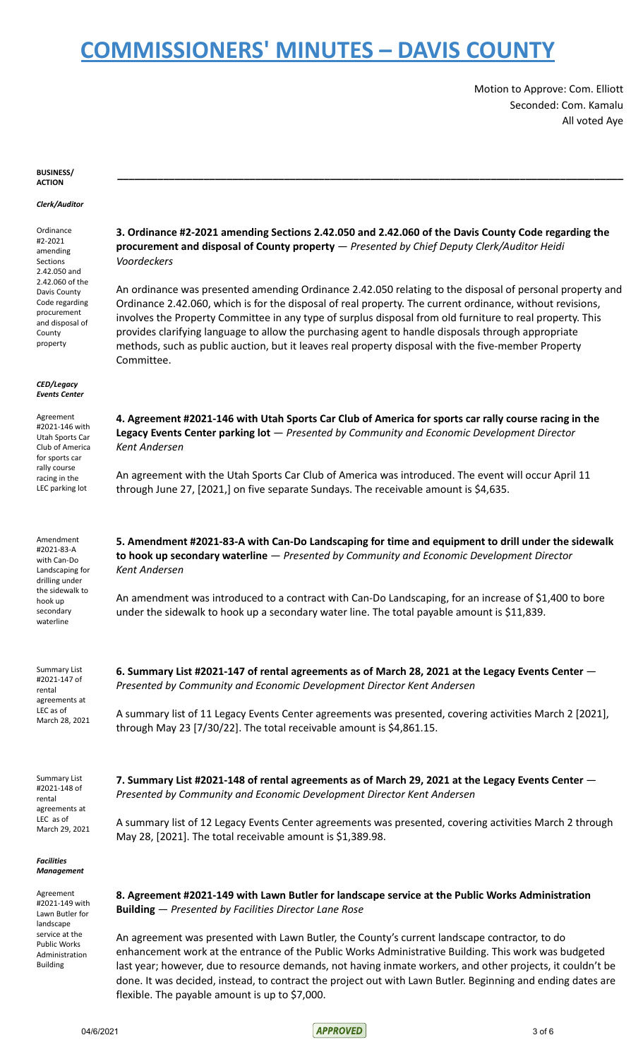Motion to Approve: Com. Elliott Seconded: Com. Kamalu All voted Aye

#### **BUSINESS/ ACTION**

### *Clerk/Auditor*

Ordinance #2-2021 amending Sections 2.42.050 and 2.42.060 of the Davis County Code regarding procurement and disposal of **County** property

### *CED/Legacy Events Center*

Agreement #2021-146 with Utah Sports Car Club of America for sports car rally course racing in the LEC parking lot

Amendment #2021-83-A with Can-Do Landscaping for drilling under the sidewalk to hook up secondary waterline

Summary List #2021-147 of rental agreements at LEC as of March 28, 2021

Summary List #2021-148 of rental agreements at LEC as of March 29, 2021

### *Facilities Management*

Agreement #2021-149 with Lawn Butler for landscape service at the Public Works Administration Building

**3. Ordinance #2-2021 amending Sections 2.42.050 and 2.42.060 of the Davis County Code regarding the procurement and disposal of County property** — *Presented by Chief Deputy Clerk/Auditor Heidi Voordeckers*

**\_\_\_\_\_\_\_\_\_\_\_\_\_\_\_\_\_\_\_\_\_\_\_\_\_\_\_\_\_\_\_\_\_\_\_\_\_\_\_\_\_\_\_\_\_\_\_\_\_\_\_\_\_\_\_\_\_\_\_\_\_\_\_\_\_\_\_\_\_\_\_\_\_\_\_\_\_\_\_\_\_\_\_\_\_\_\_\_**

An ordinance was presented amending Ordinance 2.42.050 relating to the disposal of personal property and Ordinance 2.42.060, which is for the disposal of real property. The current ordinance, without revisions, involves the Property Committee in any type of surplus disposal from old furniture to real property. This provides clarifying language to allow the purchasing agent to handle disposals through appropriate methods, such as public auction, but it leaves real property disposal with the five-member Property Committee.

4. Agreement #2021-146 with Utah Sports Car Club of America for sports car rally course racing in the **Legacy Events Center parking lot** — *Presented by Community and Economic Development Director Kent Andersen*

An agreement with the Utah Sports Car Club of America was introduced. The event will occur April 11 through June 27, [2021,] on five separate Sundays. The receivable amount is \$4,635.

**5. Amendment #2021-83-A with Can-Do Landscaping for time and equipment to drill under the sidewalk to hook up secondary waterline** — *Presented by Community and Economic Development Director Kent Andersen*

An amendment was introduced to a contract with Can-Do Landscaping, for an increase of \$1,400 to bore under the sidewalk to hook up a secondary water line. The total payable amount is \$11,839.

**6. Summary List #2021-147 of rental agreements as of March 28, 2021 at the Legacy Events Center** — *Presented by Community and Economic Development Director Kent Andersen*

A summary list of 11 Legacy Events Center agreements was presented, covering activities March 2 [2021], through May 23 [7/30/22]. The total receivable amount is \$4,861.15.

**7. Summary List #2021-148 of rental agreements as of March 29, 2021 at the Legacy Events Center** — *Presented by Community and Economic Development Director Kent Andersen*

A summary list of 12 Legacy Events Center agreements was presented, covering activities March 2 through May 28, [2021]. The total receivable amount is \$1,389.98.

**8. Agreement #2021-149 with Lawn Butler for landscape service at the Public Works Administration Building** — *Presented by Facilities Director Lane Rose*

An agreement was presented with Lawn Butler, the County's current landscape contractor, to do enhancement work at the entrance of the Public Works Administrative Building. This work was budgeted last year; however, due to resource demands, not having inmate workers, and other projects, it couldn't be done. It was decided, instead, to contract the project out with Lawn Butler. Beginning and ending dates are flexible. The payable amount is up to \$7,000.

04/6/2021 3 of 6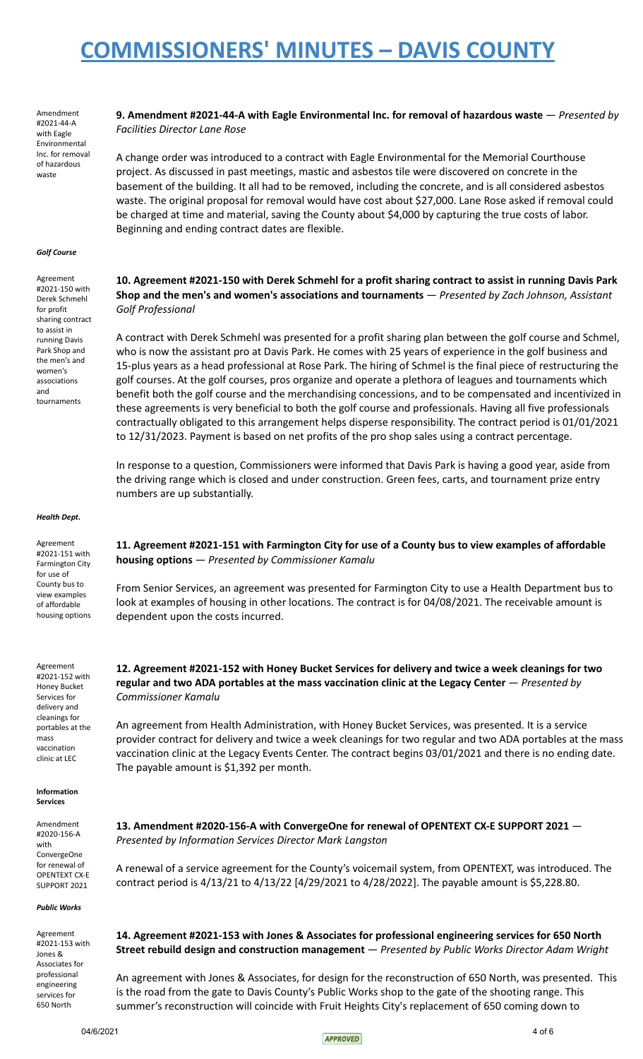Amendment #2021-44-A with Eagle Environmental Inc. for removal of hazardous waste

## **9. Amendment #2021-44-A with Eagle Environmental Inc. for removal of hazardous waste** — *Presented by Facilities Director Lane Rose*

A change order was introduced to a contract with Eagle Environmental for the Memorial Courthouse project. As discussed in past meetings, mastic and asbestos tile were discovered on concrete in the basement of the building. It all had to be removed, including the concrete, and is all considered asbestos waste. The original proposal for removal would have cost about \$27,000. Lane Rose asked if removal could be charged at time and material, saving the County about \$4,000 by capturing the true costs of labor. Beginning and ending contract dates are flexible.

#### *Golf Course*

Agreement #2021-150 with Derek Schmehl for profit sharing contract to assist in running Davis Park Shop and the men's and women's associations and tournaments

## **10. Agreement #2021-150 with Derek Schmehl for a profit sharing contract to assist in running Davis Park Shop and the men's and women's associations and tournaments** — *Presented by Zach Johnson, Assistant Golf Professional*

A contract with Derek Schmehl was presented for a profit sharing plan between the golf course and Schmel, who is now the assistant pro at Davis Park. He comes with 25 years of experience in the golf business and 15-plus years as a head professional at Rose Park. The hiring of Schmel is the final piece of restructuring the golf courses. At the golf courses, pros organize and operate a plethora of leagues and tournaments which benefit both the golf course and the merchandising concessions, and to be compensated and incentivized in these agreements is very beneficial to both the golf course and professionals. Having all five professionals contractually obligated to this arrangement helps disperse responsibility. The contract period is 01/01/2021 to 12/31/2023. Payment is based on net profits of the pro shop sales using a contract percentage.

In response to a question, Commissioners were informed that Davis Park is having a good year, aside from the driving range which is closed and under construction. Green fees, carts, and tournament prize entry numbers are up substantially.

#### *Health Dept.*

Agreement #2021-151 with Farmington City for use of County bus to view examples of affordable housing options

Agreement #2021-152 with Honey Bucket Services for delivery and cleanings for portables at the mass vaccination clinic at LEC

#### **Information Services**

Amendment #2020-156-A with ConvergeOne for renewal of OPENTEXT CX-E SUPPORT 2021

### *Public Works*

Agreement #2021-153 with Jones & Associates for professional engineering services for 650 North

**11. Agreement #2021-151 with Farmington City for use of a County bus to view examples of affordable housing options** — *Presented by Commissioner Kamalu*

From Senior Services, an agreement was presented for Farmington City to use a Health Department bus to look at examples of housing in other locations. The contract is for 04/08/2021. The receivable amount is dependent upon the costs incurred.

**12. Agreement #2021-152 with Honey Bucket Services for delivery and twice a week cleanings for two regular and two ADA portables at the mass vaccination clinic at the Legacy Center** — *Presented by Commissioner Kamalu*

An agreement from Health Administration, with Honey Bucket Services, was presented. It is a service provider contract for delivery and twice a week cleanings for two regular and two ADA portables at the mass vaccination clinic at the Legacy Events Center. The contract begins 03/01/2021 and there is no ending date. The payable amount is \$1,392 per month.

**13. Amendment #2020-156-A with ConvergeOne for renewal of OPENTEXT CX-E SUPPORT 2021** — *Presented by Information Services Director Mark Langston*

A renewal of a service agreement for the County's voicemail system, from OPENTEXT, was introduced. The contract period is 4/13/21 to 4/13/22 [4/29/2021 to 4/28/2022]. The payable amount is \$5,228.80.

# **14. Agreement #2021-153 with Jones & Associates for professional engineering services for 650 North Street rebuild design and construction management** — *Presented by Public Works Director Adam Wright*

An agreement with Jones & Associates, for design for the reconstruction of 650 North, was presented. This is the road from the gate to Davis County's Public Works shop to the gate of the shooting range. This summer's reconstruction will coincide with Fruit Heights City's replacement of 650 coming down to

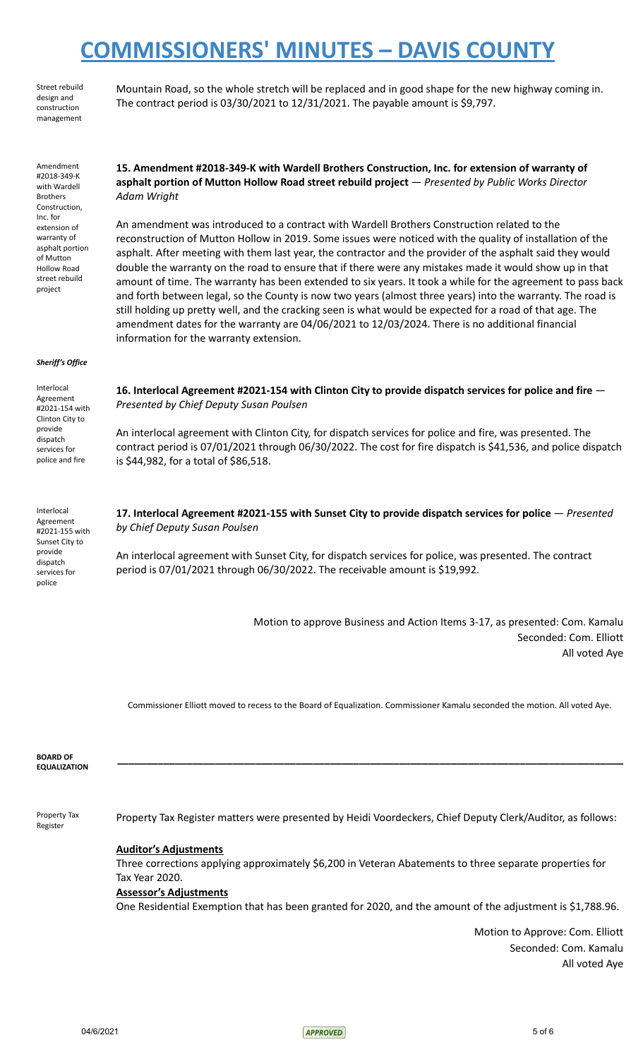The contract period is 03/30/2021 to 12/31/2021. The payable amount is \$9,797.

Mountain Road, so the whole stretch will be replaced and in good shape for the new highway coming in.

Street rebuild design and construction management

Amendment #2018-349-K with Wardell Brothers Construction, Inc. for extension of warranty of asphalt portion of Mutton Hollow Road street rebuild project **15. Amendment #2018-349-K with Wardell Brothers Construction, Inc. for extension of warranty of asphalt portion of Mutton Hollow Road street rebuild project** — *Presented by Public Works Director Adam Wright* An amendment was introduced to a contract with Wardell Brothers Construction related to the reconstruction of Mutton Hollow in 2019. Some issues were noticed with the quality of installation of the asphalt. After meeting with them last year, the contractor and the provider of the asphalt said they would double the warranty on the road to ensure that if there were any mistakes made it would show up in that amount of time. The warranty has been extended to six years. It took a while for the agreement to pass back and forth between legal, so the County is now two years (almost three years) into the warranty. The road is still holding up pretty well, and the cracking seen is what would be expected for a road of that age. The amendment dates for the warranty are 04/06/2021 to 12/03/2024. There is no additional financial information for the warranty extension. *Sheriff's Office* Interlocal Agreement #2021-154 with Clinton City to provide dispatch services for police and fire **16. Interlocal Agreement #2021-154 with Clinton City to provide dispatch services for police and fire** — *Presented by Chief Deputy Susan Poulsen* An interlocal agreement with Clinton City, for dispatch services for police and fire, was presented. The contract period is 07/01/2021 through 06/30/2022. The cost for fire dispatch is \$41,536, and police dispatch is \$44,982, for a total of \$86,518. Interlocal Agreement #2021-155 with Sunset City to provide dispatch services for police **17. Interlocal Agreement #2021-155 with Sunset City to provide dispatch services for police** — *Presented by Chief Deputy Susan Poulsen* An interlocal agreement with Sunset City, for dispatch services for police, was presented. The contract period is 07/01/2021 through 06/30/2022. The receivable amount is \$19,992.

Motion to approve Business and Action Items 3-17, as presented: Com. Kamalu Seconded: Com. Elliott All voted Aye

Commissioner Elliott moved to recess to the Board of Equalization. Commissioner Kamalu seconded the motion. All voted Aye.

**\_\_\_\_\_\_\_\_\_\_\_\_\_\_\_\_\_\_\_\_\_\_\_\_\_\_\_\_\_\_\_\_\_\_\_\_\_\_\_\_\_\_\_\_\_\_\_\_\_\_\_\_\_\_\_\_\_\_\_\_\_\_\_\_\_\_\_\_\_\_\_\_\_\_\_\_\_\_\_\_\_\_\_\_\_\_\_\_**

**BOARD OF EQUALIZATION**

Property Tax Register

Property Tax Register matters were presented by Heidi Voordeckers, Chief Deputy Clerk/Auditor, as follows:

# **Auditor's Adjustments**

Three corrections applying approximately \$6,200 in Veteran Abatements to three separate properties for Tax Year 2020.

## **Assessor's Adjustments**

One Residential Exemption that has been granted for 2020, and the amount of the adjustment is \$1,788.96.

Motion to Approve: Com. Elliott Seconded: Com. Kamalu All voted Aye